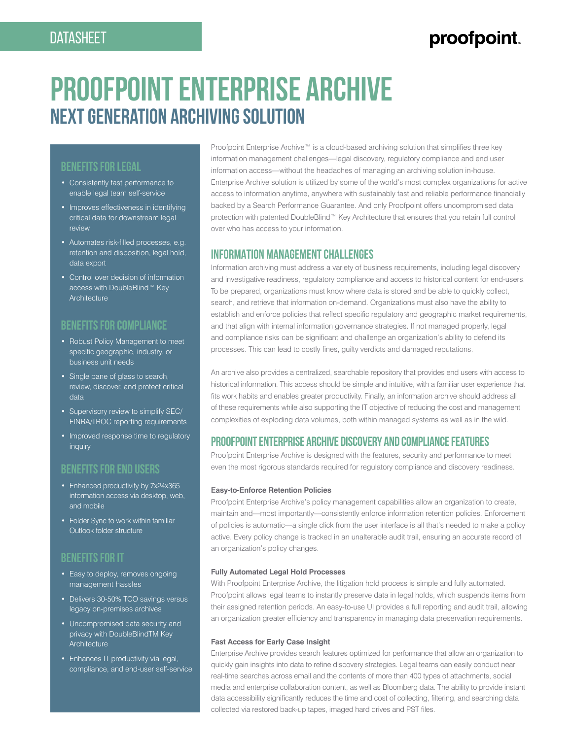## proofpoint

# **Proofpoint Enterprise Archive Next Generation Archiving Solution**

## **BENEFITS FOR LEGAL**

- Consistently fast performance to enable legal team self-service
- Improves effectiveness in identifying critical data for downstream legal review
- Automates risk-filled processes, e.g. retention and disposition, legal hold, data export
- Control over decision of information access with DoubleBlind™ Key **Architecture**

## **BENEFITS FOR COMPLIANCE**

- Robust Policy Management to meet specific geographic, industry, or business unit needs
- Single pane of glass to search, review, discover, and protect critical data
- Supervisory review to simplify SEC/ FINRA/IIROC reporting requirements
- Improved response time to regulatory inquiry

## **BENEFITS FOR END USERS**

- Enhanced productivity by 7x24x365 information access via desktop, web, and mobile
- Folder Sync to work within familiar Outlook folder structure

## **BENEFITS FOR IT**

- Easy to deploy, removes ongoing management hassles
- Delivers 30-50% TCO savings versus legacy on-premises archives
- Uncompromised data security and privacy with DoubleBlindTM Key **Architecture**
- Enhances IT productivity via legal. compliance, and end-user self-service

Proofpoint Enterprise Archive™ is a cloud-based archiving solution that simplifies three key information management challenges—legal discovery, regulatory compliance and end user information access—without the headaches of managing an archiving solution in-house. Enterprise Archive solution is utilized by some of the world's most complex organizations for active access to information anytime, anywhere with sustainably fast and reliable performance financially backed by a Search Performance Guarantee. And only Proofpoint offers uncompromised data protection with patented DoubleBlind™ Key Architecture that ensures that you retain full control over who has access to your information.

## **INFORMATION MANAGEMENT CHALLENGES**

Information archiving must address a variety of business requirements, including legal discovery and investigative readiness, regulatory compliance and access to historical content for end-users. To be prepared, organizations must know where data is stored and be able to quickly collect, search, and retrieve that information on-demand. Organizations must also have the ability to establish and enforce policies that reflect specific regulatory and geographic market requirements, and that align with internal information governance strategies. If not managed properly, legal and compliance risks can be significant and challenge an organization's ability to defend its processes. This can lead to costly fines, guilty verdicts and damaged reputations.

An archive also provides a centralized, searchable repository that provides end users with access to historical information. This access should be simple and intuitive, with a familiar user experience that fits work habits and enables greater productivity. Finally, an information archive should address all of these requirements while also supporting the IT objective of reducing the cost and management complexities of exploding data volumes, both within managed systems as well as in the wild.

## **PROOFPOINT ENTERPRISE ARCHIVE DISCOVERY AND COMPLIANCE FEATURES**

Proofpoint Enterprise Archive is designed with the features, security and performance to meet even the most rigorous standards required for regulatory compliance and discovery readiness.

#### **Easy-to-Enforce Retention Policies**

Proofpoint Enterprise Archive's policy management capabilities allow an organization to create, maintain and—most importantly—consistently enforce information retention policies. Enforcement of policies is automatic—a single click from the user interface is all that's needed to make a policy active. Every policy change is tracked in an unalterable audit trail, ensuring an accurate record of an organization's policy changes.

#### **Fully Automated Legal Hold Processes**

With Proofpoint Enterprise Archive, the litigation hold process is simple and fully automated. Proofpoint allows legal teams to instantly preserve data in legal holds, which suspends items from their assigned retention periods. An easy-to-use UI provides a full reporting and audit trail, allowing an organization greater efficiency and transparency in managing data preservation requirements.

#### **Fast Access for Early Case Insight**

Enterprise Archive provides search features optimized for performance that allow an organization to quickly gain insights into data to refine discovery strategies. Legal teams can easily conduct near real-time searches across email and the contents of more than 400 types of attachments, social media and enterprise collaboration content, as well as Bloomberg data. The ability to provide instant data accessibility significantly reduces the time and cost of collecting, filtering, and searching data collected via restored back-up tapes, imaged hard drives and PST files.